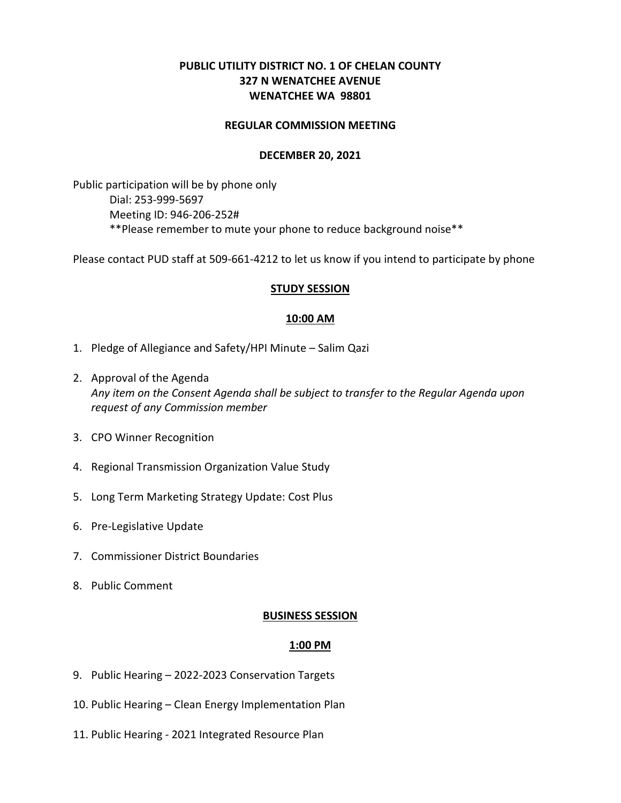# **PUBLIC UTILITY DISTRICT NO. 1 OF CHELAN COUNTY 327 N WENATCHEE AVENUE WENATCHEE WA 98801**

#### **REGULAR COMMISSION MEETING**

#### **DECEMBER 20, 2021**

Public participation will be by phone only Dial: 253-999-5697 Meeting ID: 946-206-252# \*\*Please remember to mute your phone to reduce background noise\*\*

Please contact PUD staff at 509-661-4212 to let us know if you intend to participate by phone

#### **STUDY SESSION**

#### **10:00 AM**

- 1. Pledge of Allegiance and Safety/HPI Minute Salim Qazi
- 2. Approval of the Agenda *Any item on the Consent Agenda shall be subject to transfer to the Regular Agenda upon request of any Commission member*
- 3. CPO Winner Recognition
- 4. Regional Transmission Organization Value Study
- 5. Long Term Marketing Strategy Update: Cost Plus
- 6. Pre-Legislative Update
- 7. Commissioner District Boundaries
- 8. Public Comment

## **BUSINESS SESSION**

## **1:00 PM**

- 9. Public Hearing 2022-2023 Conservation Targets
- 10. Public Hearing Clean Energy Implementation Plan
- 11. Public Hearing 2021 Integrated Resource Plan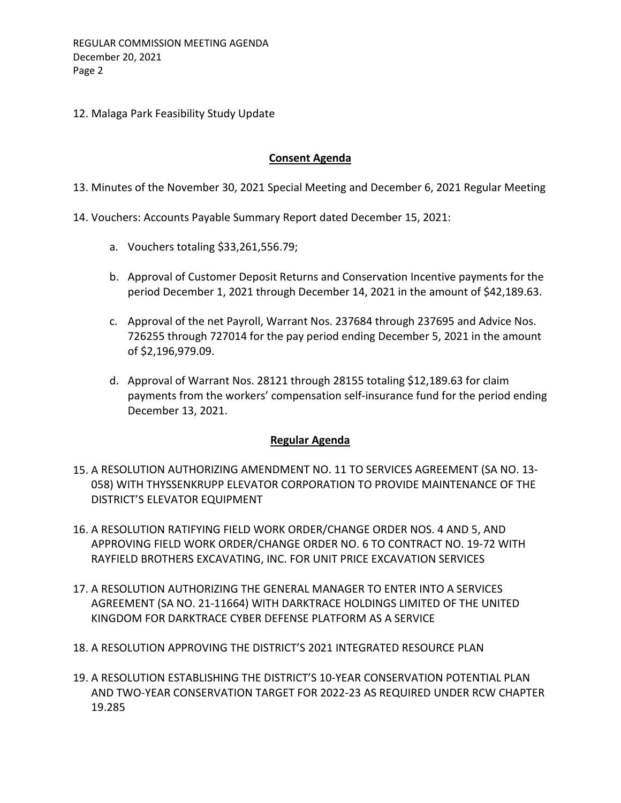12. Malaga Park Feasibility Study Update

# **Consent Agenda**

13. Minutes of the November 30, 2021 Special Meeting and December 6, 2021 Regular Meeting

- 14. Vouchers: Accounts Payable Summary Report dated December 15, 2021:
	- a. Vouchers totaling \$33,261,556.79;
	- b. Approval of Customer Deposit Returns and Conservation Incentive payments for the period December 1, 2021 through December 14, 2021 in the amount of \$42,189.63.
	- c. Approval of the net Payroll, Warrant Nos. 237684 through 237695 and Advice Nos. 726255 through 727014 for the pay period ending December 5, 2021 in the amount of \$2,196,979.09.
	- d. Approval of Warrant Nos. 28121 through 28155 totaling \$12,189.63 for claim payments from the workers' compensation self-insurance fund for the period ending December 13, 2021.

## **Regular Agenda**

- 15. A RESOLUTION AUTHORIZING AMENDMENT NO. 11 TO SERVICES AGREEMENT (SA NO. 13- 058) WITH THYSSENKRUPP ELEVATOR CORPORATION TO PROVIDE MAINTENANCE OF THE DISTRICT'S ELEVATOR EQUIPMENT
- 16. A RESOLUTION RATIFYING FIELD WORK ORDER/CHANGE ORDER NOS. 4 AND 5, AND APPROVING FIELD WORK ORDER/CHANGE ORDER NO. 6 TO CONTRACT NO. 19-72 WITH RAYFIELD BROTHERS EXCAVATING, INC. FOR UNIT PRICE EXCAVATION SERVICES
- 17. A RESOLUTION AUTHORIZING THE GENERAL MANAGER TO ENTER INTO A SERVICES AGREEMENT (SA NO. 21-11664) WITH DARKTRACE HOLDINGS LIMITED OF THE UNITED KINGDOM FOR DARKTRACE CYBER DEFENSE PLATFORM AS A SERVICE
- 18. A RESOLUTION APPROVING THE DISTRICT'S 2021 INTEGRATED RESOURCE PLAN
- 19. A RESOLUTION ESTABLISHING THE DISTRICT'S 10-YEAR CONSERVATION POTENTIAL PLAN AND TWO-YEAR CONSERVATION TARGET FOR 2022-23 AS REQUIRED UNDER RCW CHAPTER 19.285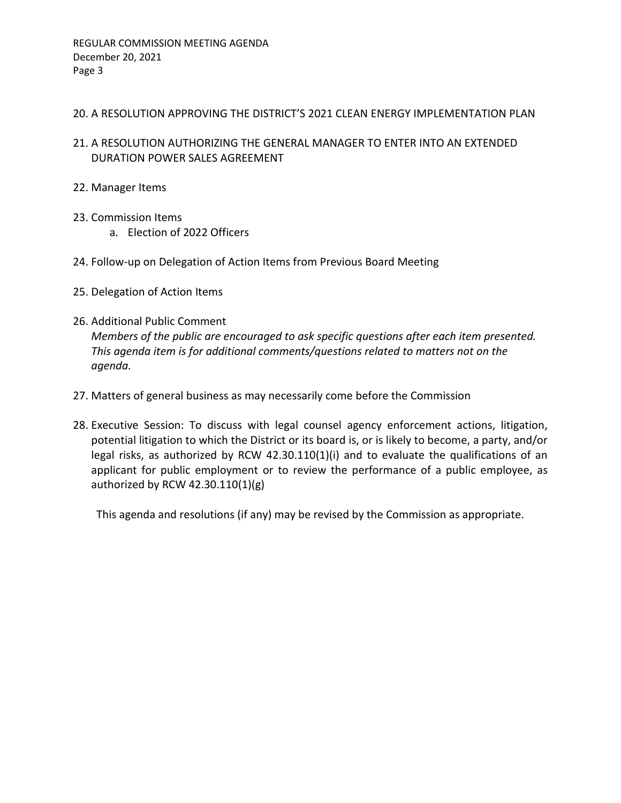## 20. A RESOLUTION APPROVING THE DISTRICT'S 2021 CLEAN ENERGY IMPLEMENTATION PLAN

- 21. A RESOLUTION AUTHORIZING THE GENERAL MANAGER TO ENTER INTO AN EXTENDED DURATION POWER SALES AGREEMENT
- 22. Manager Items
- 23. Commission Items
	- a. Election of 2022 Officers
- 24. Follow-up on Delegation of Action Items from Previous Board Meeting
- 25. Delegation of Action Items
- 26. Additional Public Comment *Members of the public are encouraged to ask specific questions after each item presented. This agenda item is for additional comments/questions related to matters not on the agenda.*
- 27. Matters of general business as may necessarily come before the Commission
- 28. Executive Session: To discuss with legal counsel agency enforcement actions, litigation, potential litigation to which the District or its board is, or is likely to become, a party, and/or legal risks, as authorized by RCW 42.30.110(1)(i) and to evaluate the qualifications of an applicant for public employment or to review the performance of a public employee, as authorized by RCW 42.30.110(1)(g)

This agenda and resolutions (if any) may be revised by the Commission as appropriate.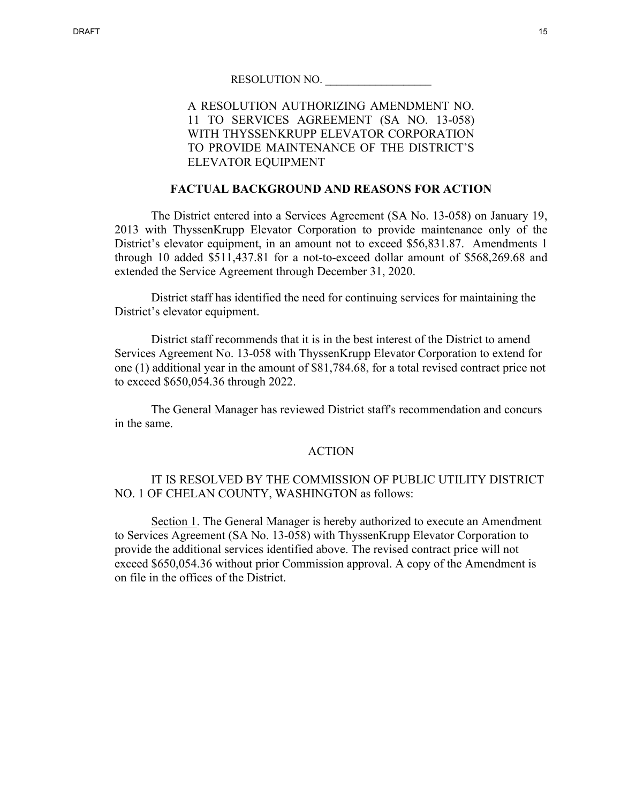# A RESOLUTION AUTHORIZING AMENDMENT NO. 11 TO SERVICES AGREEMENT (SA NO. 13-058) WITH THYSSENKRUPP ELEVATOR CORPORATION TO PROVIDE MAINTENANCE OF THE DISTRICT'S ELEVATOR EQUIPMENT

#### **FACTUAL BACKGROUND AND REASONS FOR ACTION**

The District entered into a Services Agreement (SA No. 13-058) on January 19, 2013 with ThyssenKrupp Elevator Corporation to provide maintenance only of the District's elevator equipment, in an amount not to exceed \$56,831.87. Amendments 1 through 10 added \$511,437.81 for a not-to-exceed dollar amount of \$568,269.68 and extended the Service Agreement through December 31, 2020.

District staff has identified the need for continuing services for maintaining the District's elevator equipment.

District staff recommends that it is in the best interest of the District to amend Services Agreement No. 13-058 with ThyssenKrupp Elevator Corporation to extend for one (1) additional year in the amount of \$81,784.68, for a total revised contract price not to exceed \$650,054.36 through 2022.

The General Manager has reviewed District staff's recommendation and concurs in the same.

#### ACTION

## IT IS RESOLVED BY THE COMMISSION OF PUBLIC UTILITY DISTRICT NO. 1 OF CHELAN COUNTY, WASHINGTON as follows:

Section 1. The General Manager is hereby authorized to execute an Amendment to Services Agreement (SA No. 13-058) with ThyssenKrupp Elevator Corporation to provide the additional services identified above. The revised contract price will not exceed \$650,054.36 without prior Commission approval. A copy of the Amendment is on file in the offices of the District.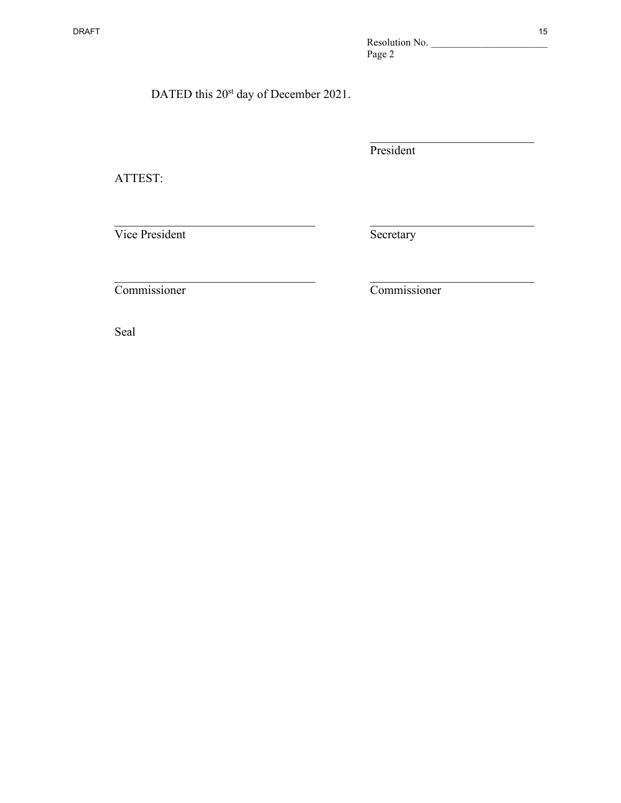# DATED this 20<sup>st</sup> day of December 2021.

President

\_\_\_\_\_\_\_\_\_\_\_\_\_\_\_\_\_\_\_\_\_\_\_\_\_\_\_

ATTEST:

Vice President Secretary

 $\frac{1}{2}$  ,  $\frac{1}{2}$  ,  $\frac{1}{2}$  ,  $\frac{1}{2}$  ,  $\frac{1}{2}$  ,  $\frac{1}{2}$  ,  $\frac{1}{2}$  ,  $\frac{1}{2}$  ,  $\frac{1}{2}$  ,  $\frac{1}{2}$  ,  $\frac{1}{2}$  ,  $\frac{1}{2}$  ,  $\frac{1}{2}$  ,  $\frac{1}{2}$  ,  $\frac{1}{2}$  ,  $\frac{1}{2}$  ,  $\frac{1}{2}$  ,  $\frac{1}{2}$  ,  $\frac{1$ 

 $\frac{1}{2}$  ,  $\frac{1}{2}$  ,  $\frac{1}{2}$  ,  $\frac{1}{2}$  ,  $\frac{1}{2}$  ,  $\frac{1}{2}$  ,  $\frac{1}{2}$  ,  $\frac{1}{2}$  ,  $\frac{1}{2}$  ,  $\frac{1}{2}$  ,  $\frac{1}{2}$  ,  $\frac{1}{2}$  ,  $\frac{1}{2}$  ,  $\frac{1}{2}$  ,  $\frac{1}{2}$  ,  $\frac{1}{2}$  ,  $\frac{1}{2}$  ,  $\frac{1}{2}$  ,  $\frac{1$ 

Commissioner Commissioner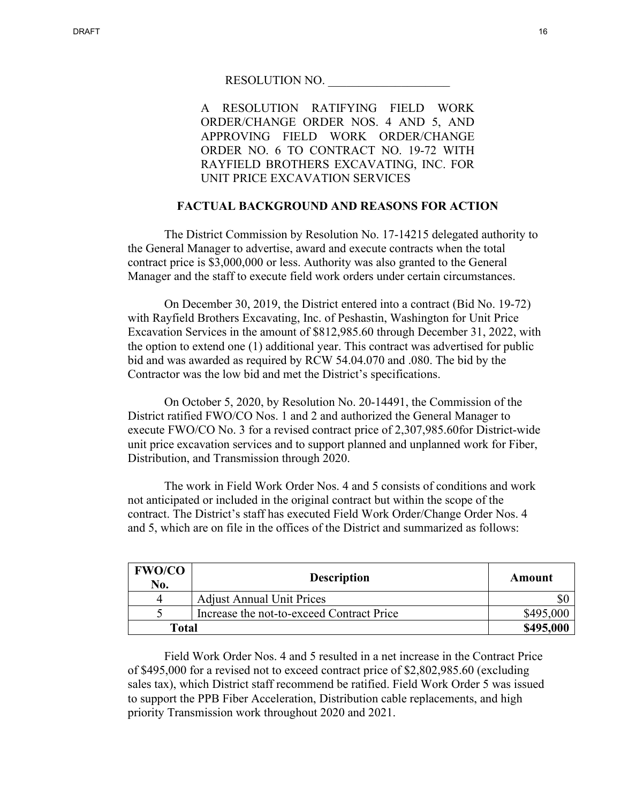A RESOLUTION RATIFYING FIELD WORK ORDER/CHANGE ORDER NOS. 4 AND 5, AND APPROVING FIELD WORK ORDER/CHANGE ORDER NO. 6 TO CONTRACT NO. 19-72 WITH RAYFIELD BROTHERS EXCAVATING, INC. FOR UNIT PRICE EXCAVATION SERVICES

## **FACTUAL BACKGROUND AND REASONS FOR ACTION**

The District Commission by Resolution No. 17-14215 delegated authority to the General Manager to advertise, award and execute contracts when the total contract price is \$3,000,000 or less. Authority was also granted to the General Manager and the staff to execute field work orders under certain circumstances.

On December 30, 2019, the District entered into a contract (Bid No. 19-72) with Rayfield Brothers Excavating, Inc. of Peshastin, Washington for Unit Price Excavation Services in the amount of \$812,985.60 through December 31, 2022, with the option to extend one (1) additional year. This contract was advertised for public bid and was awarded as required by RCW 54.04.070 and .080. The bid by the Contractor was the low bid and met the District's specifications.

On October 5, 2020, by Resolution No. 20-14491, the Commission of the District ratified FWO/CO Nos. 1 and 2 and authorized the General Manager to execute FWO/CO No. 3 for a revised contract price of 2,307,985.60for District-wide unit price excavation services and to support planned and unplanned work for Fiber, Distribution, and Transmission through 2020.

The work in Field Work Order Nos. 4 and 5 consists of conditions and work not anticipated or included in the original contract but within the scope of the contract. The District's staff has executed Field Work Order/Change Order Nos. 4 and 5, which are on file in the offices of the District and summarized as follows:

| <b>FWO/CO</b><br>No. | <b>Description</b>                        | Amount    |
|----------------------|-------------------------------------------|-----------|
|                      | <b>Adjust Annual Unit Prices</b>          |           |
|                      | Increase the not-to-exceed Contract Price | \$495,000 |
| <b>Total</b>         |                                           | \$495,000 |

Field Work Order Nos. 4 and 5 resulted in a net increase in the Contract Price of \$495,000 for a revised not to exceed contract price of \$2,802,985.60 (excluding sales tax), which District staff recommend be ratified. Field Work Order 5 was issued to support the PPB Fiber Acceleration, Distribution cable replacements, and high priority Transmission work throughout 2020 and 2021.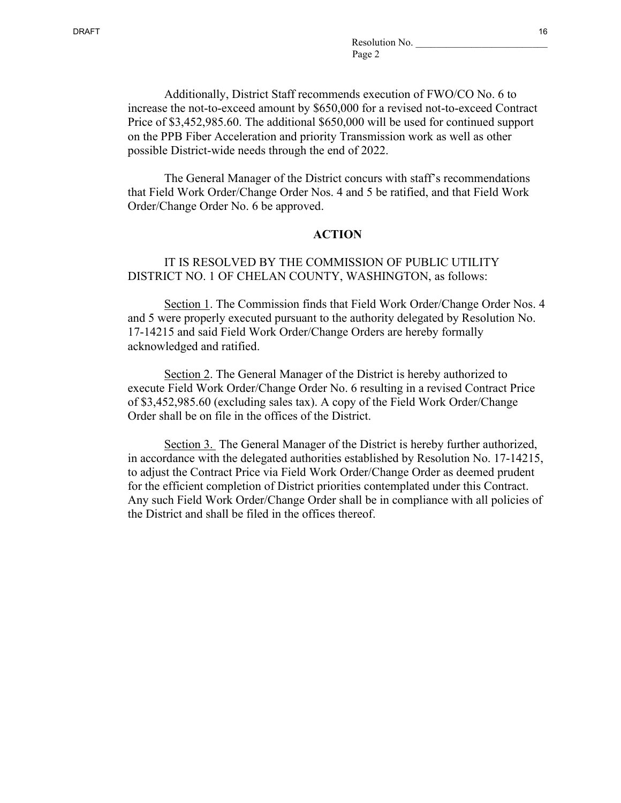Additionally, District Staff recommends execution of FWO/CO No. 6 to increase the not-to-exceed amount by \$650,000 for a revised not-to-exceed Contract Price of \$3,452,985.60. The additional \$650,000 will be used for continued support on the PPB Fiber Acceleration and priority Transmission work as well as other possible District-wide needs through the end of 2022.

The General Manager of the District concurs with staff's recommendations that Field Work Order/Change Order Nos. 4 and 5 be ratified, and that Field Work Order/Change Order No. 6 be approved.

#### **ACTION**

## IT IS RESOLVED BY THE COMMISSION OF PUBLIC UTILITY DISTRICT NO. 1 OF CHELAN COUNTY, WASHINGTON, as follows:

Section 1. The Commission finds that Field Work Order/Change Order Nos. 4 and 5 were properly executed pursuant to the authority delegated by Resolution No. 17-14215 and said Field Work Order/Change Orders are hereby formally acknowledged and ratified.

Section 2. The General Manager of the District is hereby authorized to execute Field Work Order/Change Order No. 6 resulting in a revised Contract Price of \$3,452,985.60 (excluding sales tax). A copy of the Field Work Order/Change Order shall be on file in the offices of the District.

Section 3. The General Manager of the District is hereby further authorized, in accordance with the delegated authorities established by Resolution No. 17-14215, to adjust the Contract Price via Field Work Order/Change Order as deemed prudent for the efficient completion of District priorities contemplated under this Contract. Any such Field Work Order/Change Order shall be in compliance with all policies of the District and shall be filed in the offices thereof.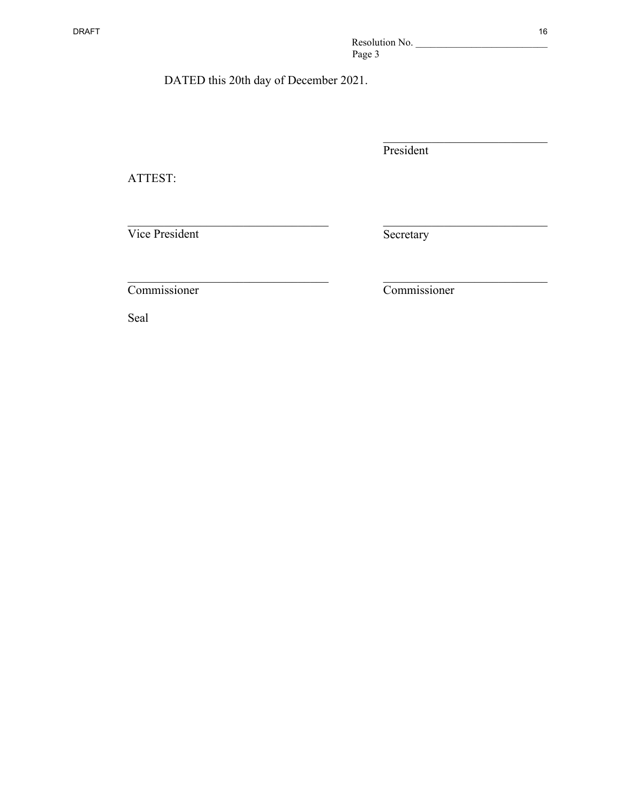DATED this 20th day of December 2021.

 $\mathcal{L}_\text{max}$  , and the set of the set of the set of the set of the set of the set of the set of the set of the set of the set of the set of the set of the set of the set of the set of the set of the set of the set of the

 $\overline{\phantom{a}}$  , and the set of the set of the set of the set of the set of the set of the set of the set of the set of the set of the set of the set of the set of the set of the set of the set of the set of the set of the s

President

ATTEST:

Vice President

**Secretary** 

Commissioner

Commissioner

\_\_\_\_\_\_\_\_\_\_\_\_\_\_\_\_\_\_\_\_\_\_\_\_\_\_\_

\_\_\_\_\_\_\_\_\_\_\_\_\_\_\_\_\_\_\_\_\_\_\_\_\_\_\_

\_\_\_\_\_\_\_\_\_\_\_\_\_\_\_\_\_\_\_\_\_\_\_\_\_\_\_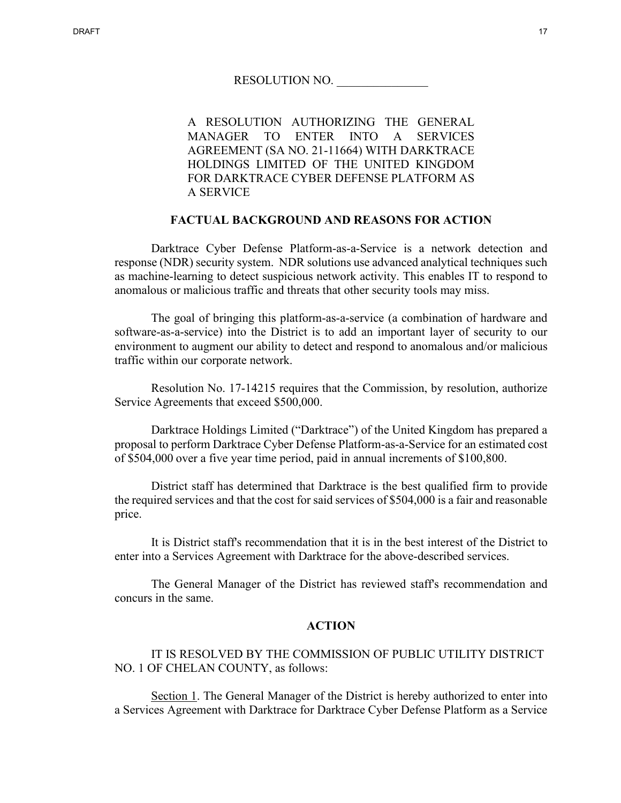A RESOLUTION AUTHORIZING THE GENERAL MANAGER TO ENTER INTO A SERVICES AGREEMENT (SA NO. 21-11664) WITH DARKTRACE HOLDINGS LIMITED OF THE UNITED KINGDOM FOR DARKTRACE CYBER DEFENSE PLATFORM AS A SERVICE

#### **FACTUAL BACKGROUND AND REASONS FOR ACTION**

Darktrace Cyber Defense Platform-as-a-Service is a network detection and response (NDR) security system. NDR solutions use advanced analytical techniques such as machine-learning to detect suspicious network activity. This enables IT to respond to anomalous or malicious traffic and threats that other security tools may miss.

The goal of bringing this platform-as-a-service (a combination of hardware and software-as-a-service) into the District is to add an important layer of security to our environment to augment our ability to detect and respond to anomalous and/or malicious traffic within our corporate network.

Resolution No. 17-14215 requires that the Commission, by resolution, authorize Service Agreements that exceed \$500,000.

Darktrace Holdings Limited ("Darktrace") of the United Kingdom has prepared a proposal to perform Darktrace Cyber Defense Platform-as-a-Service for an estimated cost of \$504,000 over a five year time period, paid in annual increments of \$100,800.

District staff has determined that Darktrace is the best qualified firm to provide the required services and that the cost for said services of \$504,000 is a fair and reasonable price.

It is District staff's recommendation that it is in the best interest of the District to enter into a Services Agreement with Darktrace for the above-described services.

The General Manager of the District has reviewed staff's recommendation and concurs in the same.

#### **ACTION**

IT IS RESOLVED BY THE COMMISSION OF PUBLIC UTILITY DISTRICT NO. 1 OF CHELAN COUNTY, as follows:

Section 1. The General Manager of the District is hereby authorized to enter into a Services Agreement with Darktrace for Darktrace Cyber Defense Platform as a Service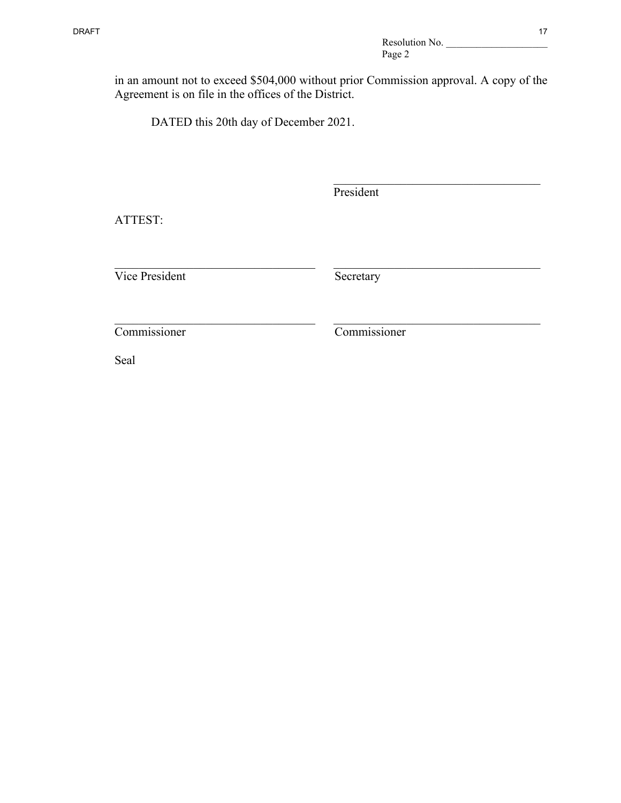in an amount not to exceed \$504,000 without prior Commission approval. A copy of the Agreement is on file in the offices of the District.

DATED this 20th day of December 2021.

President

ATTEST:

 $\_$ Vice President Secretary

Commissioner Commissioner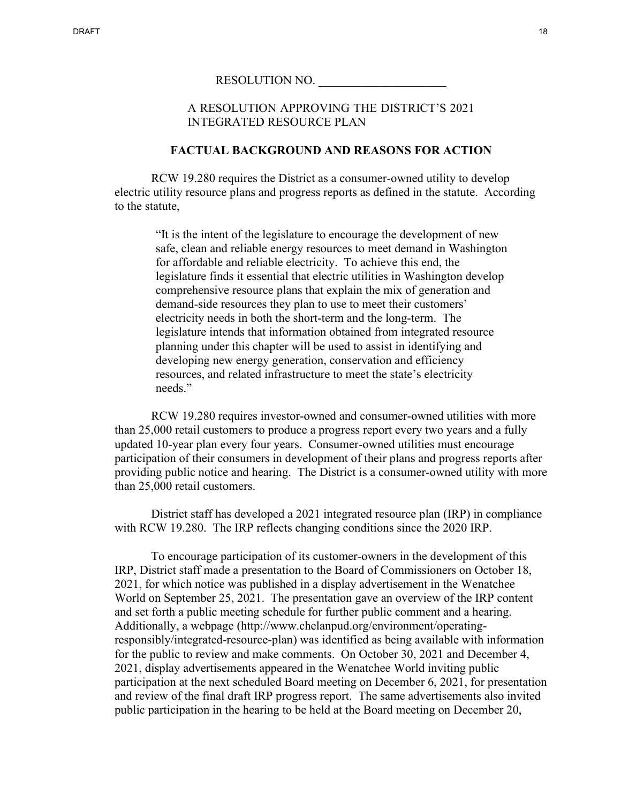A RESOLUTION APPROVING THE DISTRICT'S 2021 INTEGRATED RESOURCE PLAN

## **FACTUAL BACKGROUND AND REASONS FOR ACTION**

RCW 19.280 requires the District as a consumer-owned utility to develop electric utility resource plans and progress reports as defined in the statute. According to the statute,

"It is the intent of the legislature to encourage the development of new safe, clean and reliable energy resources to meet demand in Washington for affordable and reliable electricity. To achieve this end, the legislature finds it essential that electric utilities in Washington develop comprehensive resource plans that explain the mix of generation and demand-side resources they plan to use to meet their customers' electricity needs in both the short-term and the long-term. The legislature intends that information obtained from integrated resource planning under this chapter will be used to assist in identifying and developing new energy generation, conservation and efficiency resources, and related infrastructure to meet the state's electricity needs."

RCW 19.280 requires investor-owned and consumer-owned utilities with more than 25,000 retail customers to produce a progress report every two years and a fully updated 10-year plan every four years. Consumer-owned utilities must encourage participation of their consumers in development of their plans and progress reports after providing public notice and hearing. The District is a consumer-owned utility with more than 25,000 retail customers.

District staff has developed a 2021 integrated resource plan (IRP) in compliance with RCW 19.280. The IRP reflects changing conditions since the 2020 IRP.

To encourage participation of its customer-owners in the development of this IRP, District staff made a presentation to the Board of Commissioners on October 18, 2021, for which notice was published in a display advertisement in the Wenatchee World on September 25, 2021. The presentation gave an overview of the IRP content and set forth a public meeting schedule for further public comment and a hearing. Additionally, a webpage (http://www.chelanpud.org/environment/operatingresponsibly/integrated-resource-plan) was identified as being available with information for the public to review and make comments. On October 30, 2021 and December 4, 2021, display advertisements appeared in the Wenatchee World inviting public participation at the next scheduled Board meeting on December 6, 2021, for presentation and review of the final draft IRP progress report. The same advertisements also invited public participation in the hearing to be held at the Board meeting on December 20,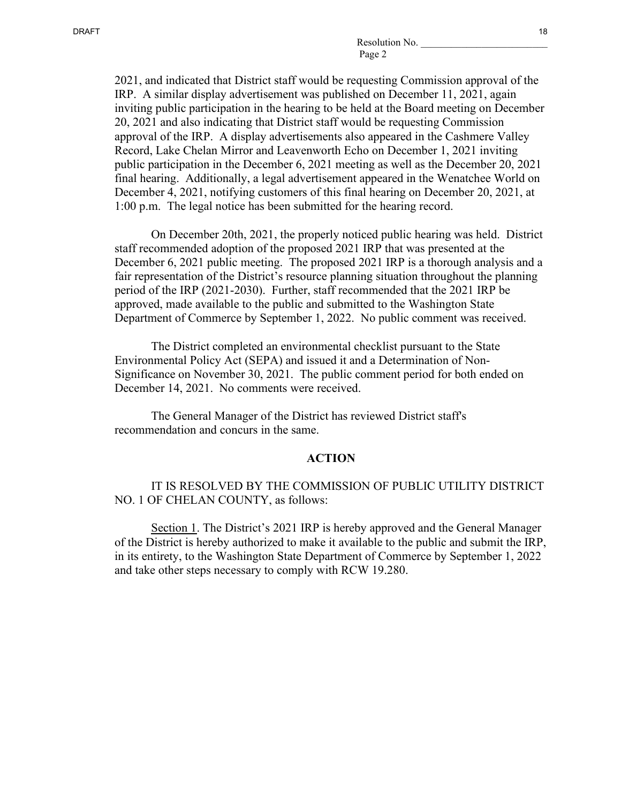2021, and indicated that District staff would be requesting Commission approval of the IRP. A similar display advertisement was published on December 11, 2021, again inviting public participation in the hearing to be held at the Board meeting on December 20, 2021 and also indicating that District staff would be requesting Commission approval of the IRP. A display advertisements also appeared in the Cashmere Valley Record, Lake Chelan Mirror and Leavenworth Echo on December 1, 2021 inviting public participation in the December 6, 2021 meeting as well as the December 20, 2021 final hearing. Additionally, a legal advertisement appeared in the Wenatchee World on December 4, 2021, notifying customers of this final hearing on December 20, 2021, at 1:00 p.m. The legal notice has been submitted for the hearing record.

On December 20th, 2021, the properly noticed public hearing was held. District staff recommended adoption of the proposed 2021 IRP that was presented at the December 6, 2021 public meeting. The proposed 2021 IRP is a thorough analysis and a fair representation of the District's resource planning situation throughout the planning period of the IRP (2021-2030). Further, staff recommended that the 2021 IRP be approved, made available to the public and submitted to the Washington State Department of Commerce by September 1, 2022. No public comment was received.

The District completed an environmental checklist pursuant to the State Environmental Policy Act (SEPA) and issued it and a Determination of Non-Significance on November 30, 2021. The public comment period for both ended on December 14, 2021. No comments were received.

The General Manager of the District has reviewed District staff's recommendation and concurs in the same.

#### **ACTION**

## IT IS RESOLVED BY THE COMMISSION OF PUBLIC UTILITY DISTRICT NO. 1 OF CHELAN COUNTY, as follows:

Section 1. The District's 2021 IRP is hereby approved and the General Manager of the District is hereby authorized to make it available to the public and submit the IRP, in its entirety, to the Washington State Department of Commerce by September 1, 2022 and take other steps necessary to comply with RCW 19.280.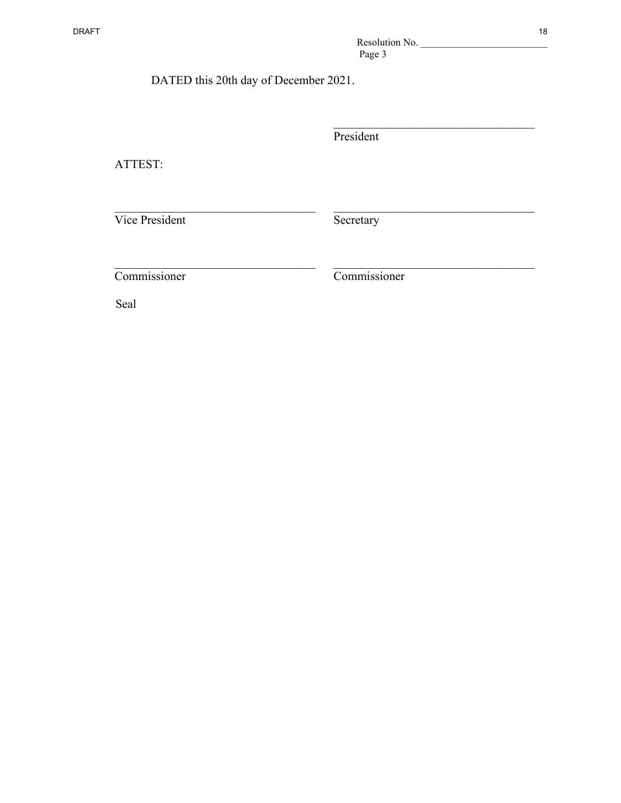| DATED this 20th day of December 2021. |  |
|---------------------------------------|--|
|---------------------------------------|--|

 $\overline{\phantom{a}}$ President

ATTEST:

Vice President Secretary

 $\_$ 

 $\_$ 

Commissioner Commissioner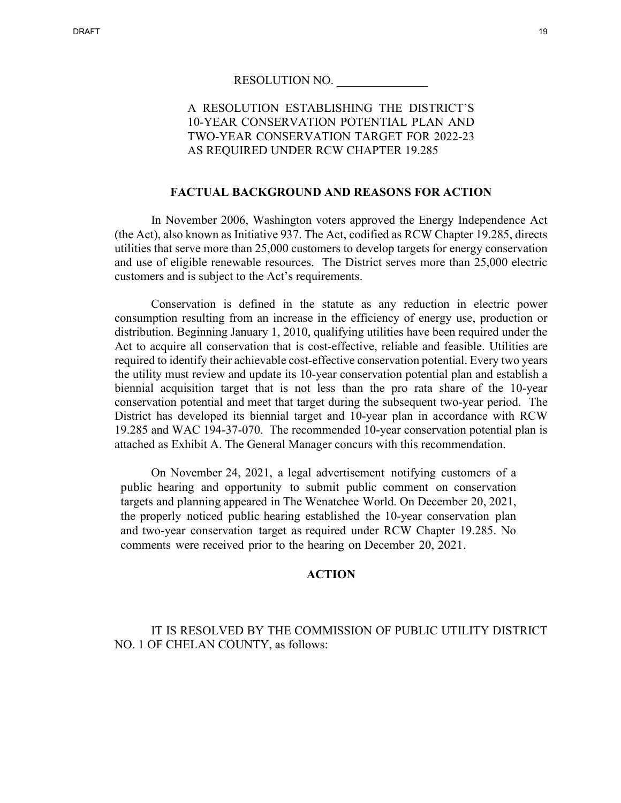# A RESOLUTION ESTABLISHING THE DISTRICT'S 10-YEAR CONSERVATION POTENTIAL PLAN AND TWO-YEAR CONSERVATION TARGET FOR 2022-23 AS REQUIRED UNDER RCW CHAPTER 19.285

## **FACTUAL BACKGROUND AND REASONS FOR ACTION**

In November 2006, Washington voters approved the Energy Independence Act (the Act), also known as Initiative 937. The Act, codified as RCW Chapter 19.285, directs utilities that serve more than 25,000 customers to develop targets for energy conservation and use of eligible renewable resources. The District serves more than 25,000 electric customers and is subject to the Act's requirements.

Conservation is defined in the statute as any reduction in electric power consumption resulting from an increase in the efficiency of energy use, production or distribution. Beginning January 1, 2010, qualifying utilities have been required under the Act to acquire all conservation that is cost-effective, reliable and feasible. Utilities are required to identify their achievable cost-effective conservation potential. Every two years the utility must review and update its 10-year conservation potential plan and establish a biennial acquisition target that is not less than the pro rata share of the 10-year conservation potential and meet that target during the subsequent two-year period. The District has developed its biennial target and 10-year plan in accordance with RCW 19.285 and WAC 194-37-070. The recommended 10-year conservation potential plan is attached as Exhibit A. The General Manager concurs with this recommendation.

On November 24, 2021, a legal advertisement notifying customers of a public hearing and opportunity to submit public comment on conservation targets and planning appeared in The Wenatchee World. On December 20, 2021, the properly noticed public hearing established the 10-year conservation plan and two-year conservation target as required under RCW Chapter 19.285. No comments were received prior to the hearing on December 20, 2021.

## **ACTION**

IT IS RESOLVED BY THE COMMISSION OF PUBLIC UTILITY DISTRICT NO. 1 OF CHELAN COUNTY, as follows: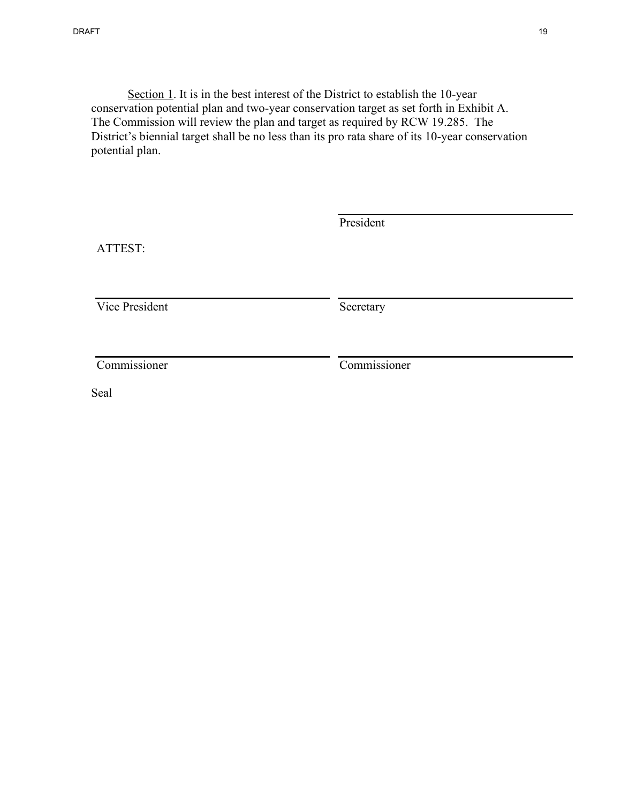Section 1. It is in the best interest of the District to establish the 10-year conservation potential plan and two-year conservation target as set forth in Exhibit A. The Commission will review the plan and target as required by RCW 19.285. The District's biennial target shall be no less than its pro rata share of its 10-year conservation potential plan.

| ATTEST:        | President    |
|----------------|--------------|
| Vice President | Secretary    |
| Commissioner   | Commissioner |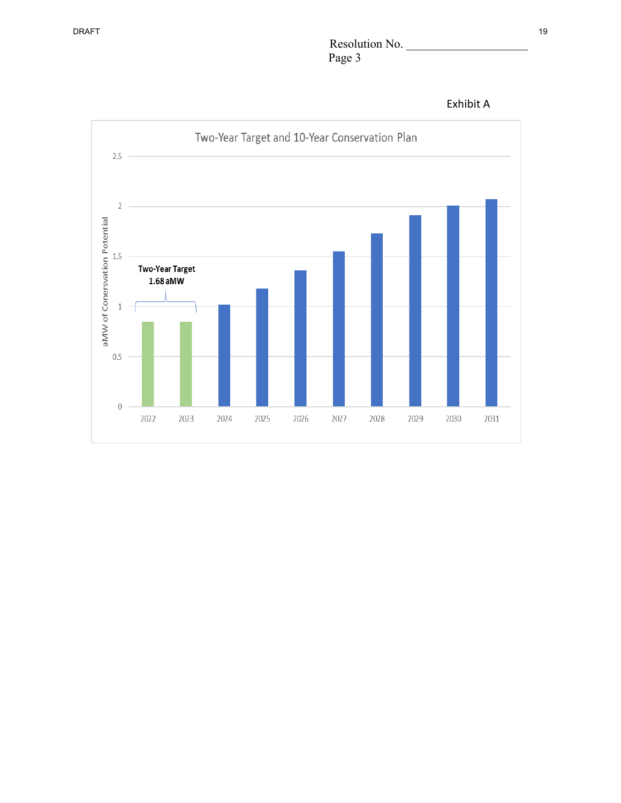# Resolution No. \_\_\_\_\_\_\_\_\_\_\_\_\_\_\_\_\_\_\_\_ Page 3

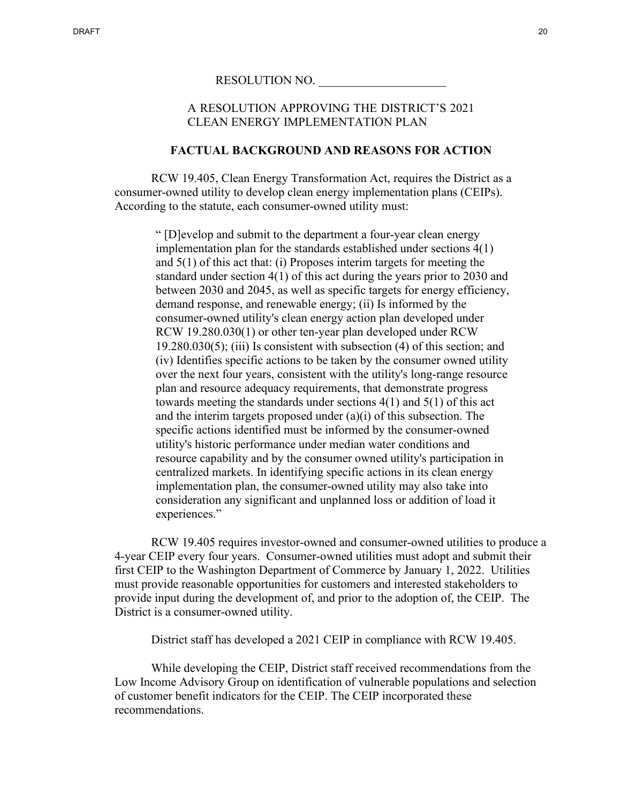A RESOLUTION APPROVING THE DISTRICT'S 2021 CLEAN ENERGY IMPLEMENTATION PLAN

#### **FACTUAL BACKGROUND AND REASONS FOR ACTION**

RCW 19.405, Clean Energy Transformation Act, requires the District as a consumer-owned utility to develop clean energy implementation plans (CEIPs). According to the statute, each consumer-owned utility must:

> " [D]evelop and submit to the department a four-year clean energy implementation plan for the standards established under sections 4(1) and 5(1) of this act that: (i) Proposes interim targets for meeting the standard under section 4(1) of this act during the years prior to 2030 and between 2030 and 2045, as well as specific targets for energy efficiency, demand response, and renewable energy; (ii) Is informed by the consumer-owned utility's clean energy action plan developed under RCW 19.280.030(1) or other ten-year plan developed under RCW  $19.280.030(5)$ ; (iii) Is consistent with subsection (4) of this section; and (iv) Identifies specific actions to be taken by the consumer owned utility over the next four years, consistent with the utility's long-range resource plan and resource adequacy requirements, that demonstrate progress towards meeting the standards under sections 4(1) and 5(1) of this act and the interim targets proposed under (a)(i) of this subsection. The specific actions identified must be informed by the consumer-owned utility's historic performance under median water conditions and resource capability and by the consumer owned utility's participation in centralized markets. In identifying specific actions in its clean energy implementation plan, the consumer-owned utility may also take into consideration any significant and unplanned loss or addition of load it experiences."

RCW 19.405 requires investor-owned and consumer-owned utilities to produce a 4-year CEIP every four years. Consumer-owned utilities must adopt and submit their first CEIP to the Washington Department of Commerce by January 1, 2022. Utilities must provide reasonable opportunities for customers and interested stakeholders to provide input during the development of, and prior to the adoption of, the CEIP. The District is a consumer-owned utility.

District staff has developed a 2021 CEIP in compliance with RCW 19.405.

While developing the CEIP, District staff received recommendations from the Low Income Advisory Group on identification of vulnerable populations and selection of customer benefit indicators for the CEIP. The CEIP incorporated these recommendations.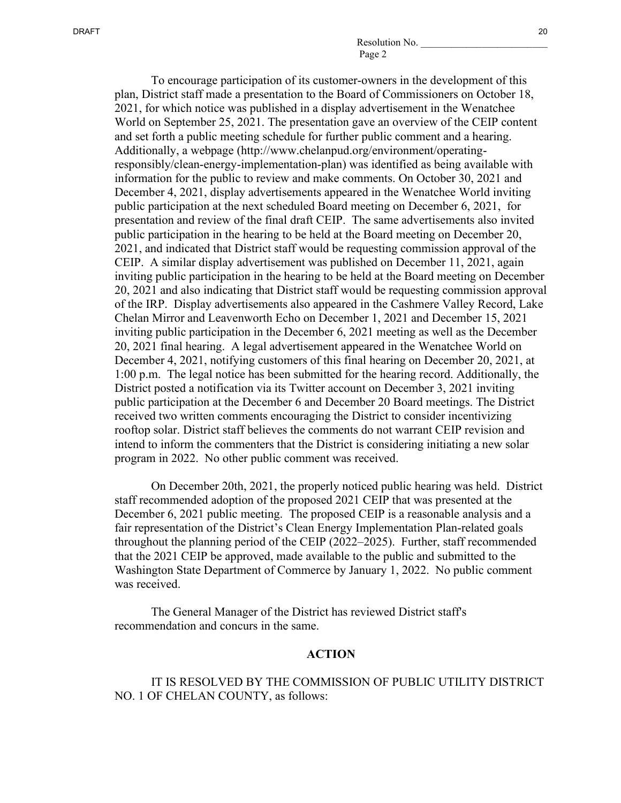To encourage participation of its customer-owners in the development of this plan, District staff made a presentation to the Board of Commissioners on October 18, 2021, for which notice was published in a display advertisement in the Wenatchee World on September 25, 2021. The presentation gave an overview of the CEIP content and set forth a public meeting schedule for further public comment and a hearing. Additionally, a webpage (http://www.chelanpud.org/environment/operatingresponsibly/clean-energy-implementation-plan) was identified as being available with information for the public to review and make comments. On October 30, 2021 and December 4, 2021, display advertisements appeared in the Wenatchee World inviting public participation at the next scheduled Board meeting on December 6, 2021, for presentation and review of the final draft CEIP. The same advertisements also invited public participation in the hearing to be held at the Board meeting on December 20, 2021, and indicated that District staff would be requesting commission approval of the CEIP. A similar display advertisement was published on December 11, 2021, again inviting public participation in the hearing to be held at the Board meeting on December 20, 2021 and also indicating that District staff would be requesting commission approval of the IRP. Display advertisements also appeared in the Cashmere Valley Record, Lake Chelan Mirror and Leavenworth Echo on December 1, 2021 and December 15, 2021 inviting public participation in the December 6, 2021 meeting as well as the December 20, 2021 final hearing. A legal advertisement appeared in the Wenatchee World on December 4, 2021, notifying customers of this final hearing on December 20, 2021, at 1:00 p.m. The legal notice has been submitted for the hearing record. Additionally, the District posted a notification via its Twitter account on December 3, 2021 inviting public participation at the December 6 and December 20 Board meetings. The District received two written comments encouraging the District to consider incentivizing rooftop solar. District staff believes the comments do not warrant CEIP revision and intend to inform the commenters that the District is considering initiating a new solar program in 2022. No other public comment was received.

On December 20th, 2021, the properly noticed public hearing was held. District staff recommended adoption of the proposed 2021 CEIP that was presented at the December 6, 2021 public meeting. The proposed CEIP is a reasonable analysis and a fair representation of the District's Clean Energy Implementation Plan-related goals throughout the planning period of the CEIP (2022–2025). Further, staff recommended that the 2021 CEIP be approved, made available to the public and submitted to the Washington State Department of Commerce by January 1, 2022. No public comment was received.

The General Manager of the District has reviewed District staff's recommendation and concurs in the same.

#### **ACTION**

## IT IS RESOLVED BY THE COMMISSION OF PUBLIC UTILITY DISTRICT NO. 1 OF CHELAN COUNTY, as follows: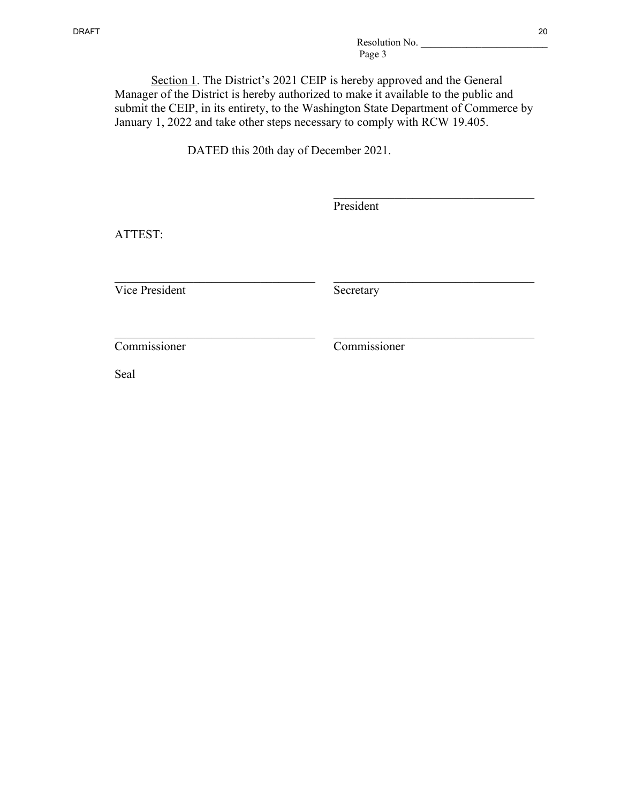Section 1. The District's 2021 CEIP is hereby approved and the General Manager of the District is hereby authorized to make it available to the public and submit the CEIP, in its entirety, to the Washington State Department of Commerce by January 1, 2022 and take other steps necessary to comply with RCW 19.405.

DATED this 20th day of December 2021.

| ATTEST:              | President    |  |
|----------------------|--------------|--|
| Vice President       | Secretary    |  |
| Commissioner<br>Seal | Commissioner |  |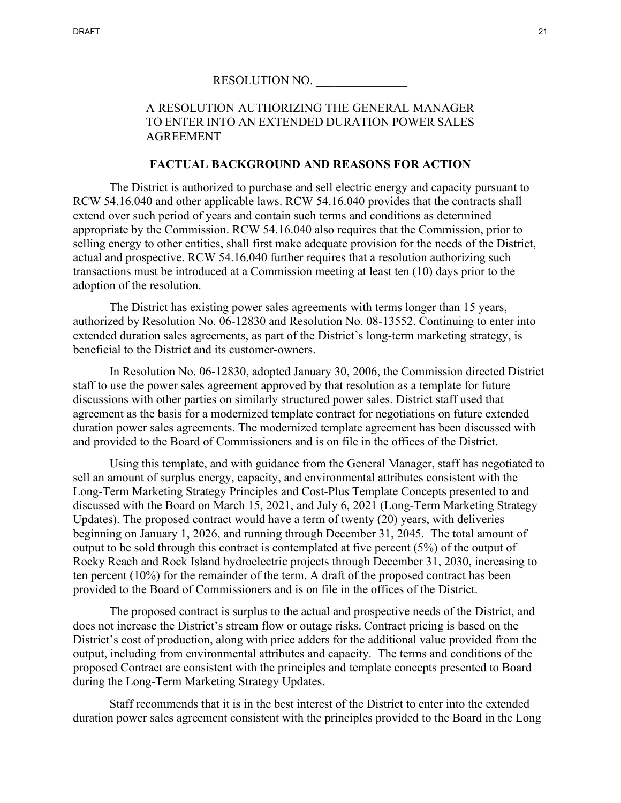# A RESOLUTION AUTHORIZING THE GENERAL MANAGER TO ENTER INTO AN EXTENDED DURATION POWER SALES AGREEMENT

## **FACTUAL BACKGROUND AND REASONS FOR ACTION**

The District is authorized to purchase and sell electric energy and capacity pursuant to RCW 54.16.040 and other applicable laws. RCW 54.16.040 provides that the contracts shall extend over such period of years and contain such terms and conditions as determined appropriate by the Commission. RCW 54.16.040 also requires that the Commission, prior to selling energy to other entities, shall first make adequate provision for the needs of the District, actual and prospective. RCW 54.16.040 further requires that a resolution authorizing such transactions must be introduced at a Commission meeting at least ten (10) days prior to the adoption of the resolution.

The District has existing power sales agreements with terms longer than 15 years, authorized by Resolution No. 06-12830 and Resolution No. 08-13552. Continuing to enter into extended duration sales agreements, as part of the District's long-term marketing strategy, is beneficial to the District and its customer-owners.

In Resolution No. 06-12830, adopted January 30, 2006, the Commission directed District staff to use the power sales agreement approved by that resolution as a template for future discussions with other parties on similarly structured power sales. District staff used that agreement as the basis for a modernized template contract for negotiations on future extended duration power sales agreements. The modernized template agreement has been discussed with and provided to the Board of Commissioners and is on file in the offices of the District.

Using this template, and with guidance from the General Manager, staff has negotiated to sell an amount of surplus energy, capacity, and environmental attributes consistent with the Long-Term Marketing Strategy Principles and Cost-Plus Template Concepts presented to and discussed with the Board on March 15, 2021, and July 6, 2021 (Long-Term Marketing Strategy Updates). The proposed contract would have a term of twenty (20) years, with deliveries beginning on January 1, 2026, and running through December 31, 2045. The total amount of output to be sold through this contract is contemplated at five percent (5%) of the output of Rocky Reach and Rock Island hydroelectric projects through December 31, 2030, increasing to ten percent (10%) for the remainder of the term. A draft of the proposed contract has been provided to the Board of Commissioners and is on file in the offices of the District.

The proposed contract is surplus to the actual and prospective needs of the District, and does not increase the District's stream flow or outage risks. Contract pricing is based on the District's cost of production, along with price adders for the additional value provided from the output, including from environmental attributes and capacity. The terms and conditions of the proposed Contract are consistent with the principles and template concepts presented to Board during the Long-Term Marketing Strategy Updates.

Staff recommends that it is in the best interest of the District to enter into the extended duration power sales agreement consistent with the principles provided to the Board in the Long